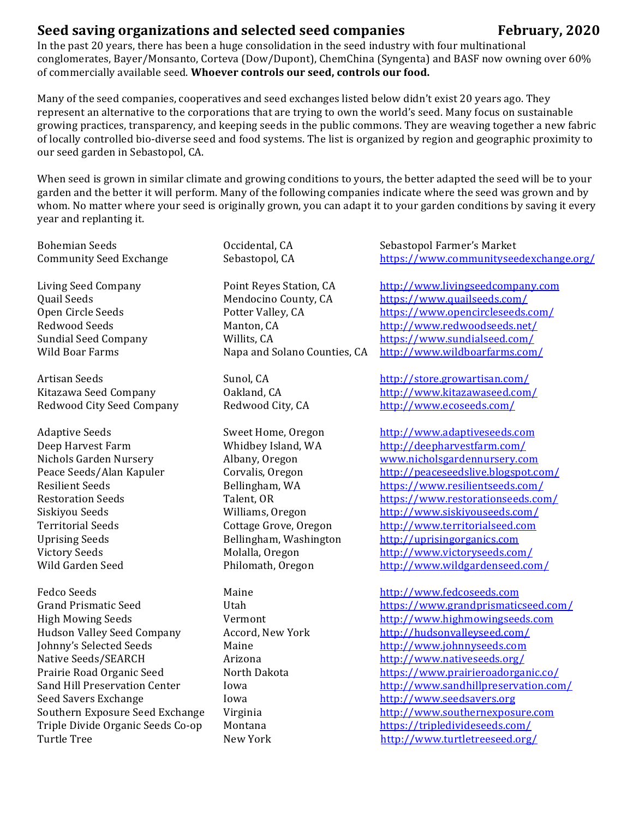## **Seed saving organizations and selected seed companies** *February, 2020*

In the past 20 years, there has been a huge consolidation in the seed industry with four multinational conglomerates, Bayer/Monsanto, Corteva (Dow/Dupont), ChemChina (Syngenta) and BASF now owning over 60% of commercially available seed. Whoever controls our seed, controls our food.

Many of the seed companies, cooperatives and seed exchanges listed below didn't exist 20 years ago. They represent an alternative to the corporations that are trying to own the world's seed. Many focus on sustainable growing practices, transparency, and keeping seeds in the public commons. They are weaving together a new fabric of locally controlled bio-diverse seed and food systems. The list is organized by region and geographic proximity to our seed garden in Sebastopol, CA.

When seed is grown in similar climate and growing conditions to yours, the better adapted the seed will be to your garden and the better it will perform. Many of the following companies indicate where the seed was grown and by whom. No matter where your seed is originally grown, you can adapt it to your garden conditions by saving it every year and replanting it.

Redwood City Seed Company Redwood City, CA http://www.ecoseeds.com/

Hudson Valley Seed Company Accord, New York http://hudsonvalleyseed.com/ Johnny's Selected Seeds Maine http://www.johnnyseeds.com Native Seeds/SEARCH Arizona http://www.nativeseeds.org/ Seed Savers Exchange Towa **Iowa Iowa http://www.seedsavers.org** Triple Divide Organic Seeds Co-op Montana *https://tripledivideseeds.com/* Turtle Tree New York http://www.turtletreeseed.org/

Bohemian Seeds **Communist Contains Containerty** Occidental, CA **Communist Contains Containert** School Farmer's Market Community Seed Exchange Sebastopol, CA https://www.communityseedexchange.org/

Living Seed Company **Point Reyes Station, CA** http://www.livingseedcompany.com Quail Seeds **Mendocino** County, CA https://www.quailseeds.com/ Open Circle Seeds **Potter Valley, CA** https://www.opencircleseeds.com/ Redwood Seeds Manton, CA http://www.redwoodseeds.net/ Sundial Seed Company Willits, CA https://www.sundialseed.com/ Wild Boar Farms Napa and Solano Counties, CA http://www.wildboarfarms.com/

Artisan Seeds Sunol, CA **Sunol, CA** http://store.growartisan.com/ Kitazawa Seed Company 0akland, CA http://www.kitazawaseed.com/

Adaptive Seeds Sweet Home, Oregon http://www.adaptiveseeds.com Deep Harvest Farm Whidbey Island, WA http://deepharvestfarm.com/ Nichols Garden Nursery **Albany, Oregon WWW.nicholsgardennursery.com** Peace Seeds/Alan Kapuler Corvalis, Oregon http://peaceseedslive.blogspot.com/ Resilient Seeds Bellingham, WA https://www.resilientseeds.com/ Restoration Seeds Talent, OR https://www.restorationseeds.com/ Siskiyou Seeds Williams, Oregon http://www.siskiyouseeds.com/ Territorial Seeds **Secure Contage Grove, Oregon** *http://www.territorialseed.com* Uprising Seeds **Bellingham,** Washington **http://uprisingorganics.com** Victory Seeds Molalla, Oregon http://www.victoryseeds.com/ Wild Garden Seed Philomath, Oregon http://www.wildgardenseed.com/

Fedco Seeds **Example 20** Maine **Maine Maine http://www.fedcoseeds.com** Grand Prismatic Seed **The Utah Community Community Community** Section Utah Terms://www.grandprismaticseed.com/ High Mowing Seeds **Vermont** Vermont *http://www.highmowingseeds.com* Prairie Road Organic Seed North Dakota **https://www.prairieroadorganic.co/** Sand Hill Preservation Center Iowa **Iowa** *http://www.sandhillpreservation.com/* Southern Exposure Seed Exchange Virginia *http://www.southernexposure.com*